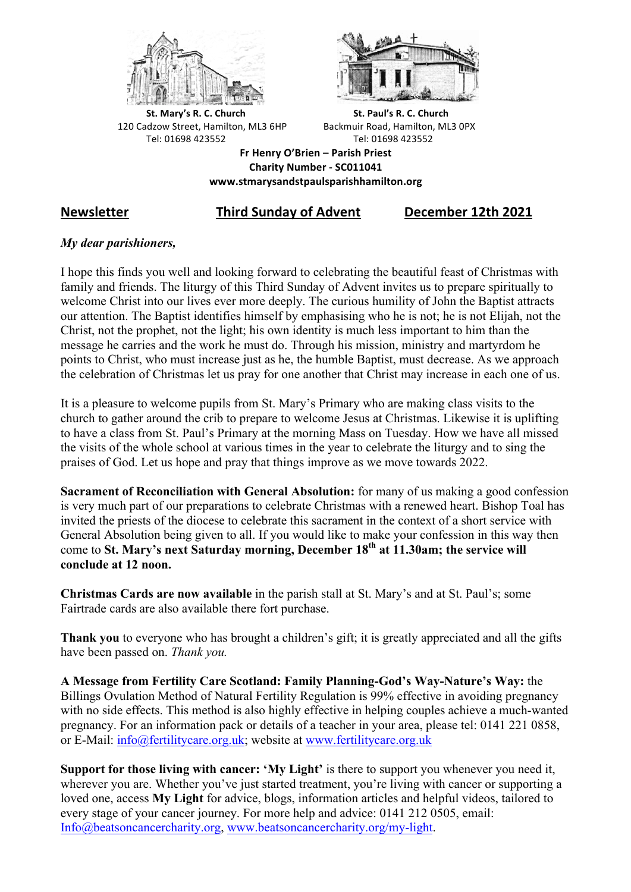



**St.** Mary's R. C. Church St. Paul's R. C. Church 120 Cadzow Street, Hamilton, ML3 6HP Backmuir Road, Hamilton, ML3 0PX Tel: 01698 423552 Tel: 01698 423552

**Fr Henry O'Brien – Parish Priest Charity Number - SC011041 www.stmarysandstpaulsparishhamilton.org**

# **Newsletter Third Sunday of Advent December 12th 2021**

# *My dear parishioners,*

I hope this finds you well and looking forward to celebrating the beautiful feast of Christmas with family and friends. The liturgy of this Third Sunday of Advent invites us to prepare spiritually to welcome Christ into our lives ever more deeply. The curious humility of John the Baptist attracts our attention. The Baptist identifies himself by emphasising who he is not; he is not Elijah, not the Christ, not the prophet, not the light; his own identity is much less important to him than the message he carries and the work he must do. Through his mission, ministry and martyrdom he points to Christ, who must increase just as he, the humble Baptist, must decrease. As we approach the celebration of Christmas let us pray for one another that Christ may increase in each one of us.

It is a pleasure to welcome pupils from St. Mary's Primary who are making class visits to the church to gather around the crib to prepare to welcome Jesus at Christmas. Likewise it is uplifting to have a class from St. Paul's Primary at the morning Mass on Tuesday. How we have all missed the visits of the whole school at various times in the year to celebrate the liturgy and to sing the praises of God. Let us hope and pray that things improve as we move towards 2022.

**Sacrament of Reconciliation with General Absolution:** for many of us making a good confession is very much part of our preparations to celebrate Christmas with a renewed heart. Bishop Toal has invited the priests of the diocese to celebrate this sacrament in the context of a short service with General Absolution being given to all. If you would like to make your confession in this way then come to **St. Mary's next Saturday morning, December 18th at 11.30am; the service will conclude at 12 noon.**

**Christmas Cards are now available** in the parish stall at St. Mary's and at St. Paul's; some Fairtrade cards are also available there fort purchase.

**Thank you** to everyone who has brought a children's gift; it is greatly appreciated and all the gifts have been passed on. *Thank you.*

**A Message from Fertility Care Scotland: Family Planning-God's Way-Nature's Way:** the Billings Ovulation Method of Natural Fertility Regulation is 99% effective in avoiding pregnancy with no side effects. This method is also highly effective in helping couples achieve a much-wanted pregnancy. For an information pack or details of a teacher in your area, please tel: 0141 221 0858, or E-Mail: info@fertilitycare.org.uk; website at www.fertilitycare.org.uk

**Support for those living with cancer: 'My Light'** is there to support you whenever you need it, wherever you are. Whether you've just started treatment, you're living with cancer or supporting a loved one, access **My Light** for advice, blogs, information articles and helpful videos, tailored to every stage of your cancer journey. For more help and advice: 0141 212 0505, email: Info@beatsoncancercharity.org, www.beatsoncancercharity.org/my-light.